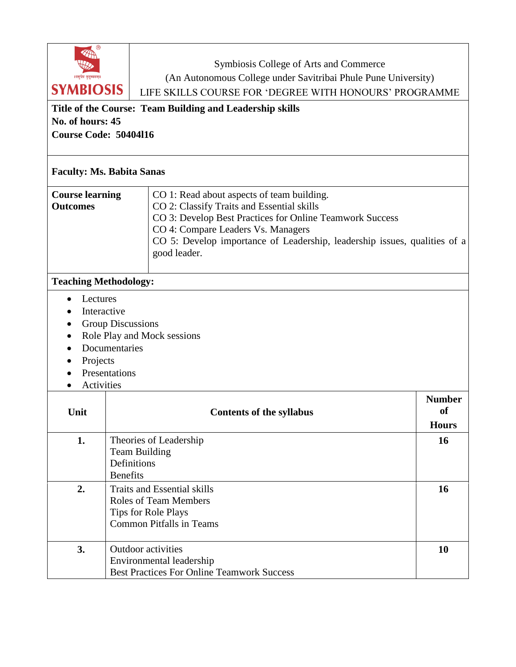| Symbiosis College of Arts and Commerce<br>(An Autonomous College under Savitribai Phule Pune University)<br>।।वसुधैव कुटुम्बकम्॥<br><b>SYMBIOSIS</b><br>LIFE SKILLS COURSE FOR 'DEGREE WITH HONOURS' PROGRAMME<br>Title of the Course: Team Building and Leadership skills<br>No. of hours: 45<br><b>Course Code: 50404116</b> |                                                                                                                                    |                                                                                                                                                                                                                                                                                         |                                     |  |
|--------------------------------------------------------------------------------------------------------------------------------------------------------------------------------------------------------------------------------------------------------------------------------------------------------------------------------|------------------------------------------------------------------------------------------------------------------------------------|-----------------------------------------------------------------------------------------------------------------------------------------------------------------------------------------------------------------------------------------------------------------------------------------|-------------------------------------|--|
| <b>Faculty: Ms. Babita Sanas</b>                                                                                                                                                                                                                                                                                               |                                                                                                                                    |                                                                                                                                                                                                                                                                                         |                                     |  |
| <b>Course learning</b><br><b>Outcomes</b>                                                                                                                                                                                                                                                                                      |                                                                                                                                    | CO 1: Read about aspects of team building.<br>CO 2: Classify Traits and Essential skills<br>CO 3: Develop Best Practices for Online Teamwork Success<br>CO 4: Compare Leaders Vs. Managers<br>CO 5: Develop importance of Leadership, leadership issues, qualities of a<br>good leader. |                                     |  |
| <b>Teaching Methodology:</b>                                                                                                                                                                                                                                                                                                   |                                                                                                                                    |                                                                                                                                                                                                                                                                                         |                                     |  |
| Lectures<br>Interactive<br><b>Group Discussions</b><br>Role Play and Mock sessions<br>Documentaries<br>Projects<br>Presentations<br>Activities                                                                                                                                                                                 |                                                                                                                                    |                                                                                                                                                                                                                                                                                         |                                     |  |
| Unit                                                                                                                                                                                                                                                                                                                           |                                                                                                                                    | <b>Contents of the syllabus</b>                                                                                                                                                                                                                                                         | <b>Number</b><br>of<br><b>Hours</b> |  |
| 1.                                                                                                                                                                                                                                                                                                                             | Theories of Leadership<br><b>Team Building</b><br>Definitions<br><b>Benefits</b>                                                   |                                                                                                                                                                                                                                                                                         | <b>16</b>                           |  |
| 2.                                                                                                                                                                                                                                                                                                                             | <b>Traits and Essential skills</b><br>16<br>Roles of Team Members<br><b>Tips for Role Plays</b><br><b>Common Pitfalls in Teams</b> |                                                                                                                                                                                                                                                                                         |                                     |  |
| 3.                                                                                                                                                                                                                                                                                                                             |                                                                                                                                    | <b>Outdoor</b> activities<br>Environmental leadership<br><b>Best Practices For Online Teamwork Success</b>                                                                                                                                                                              | 10                                  |  |